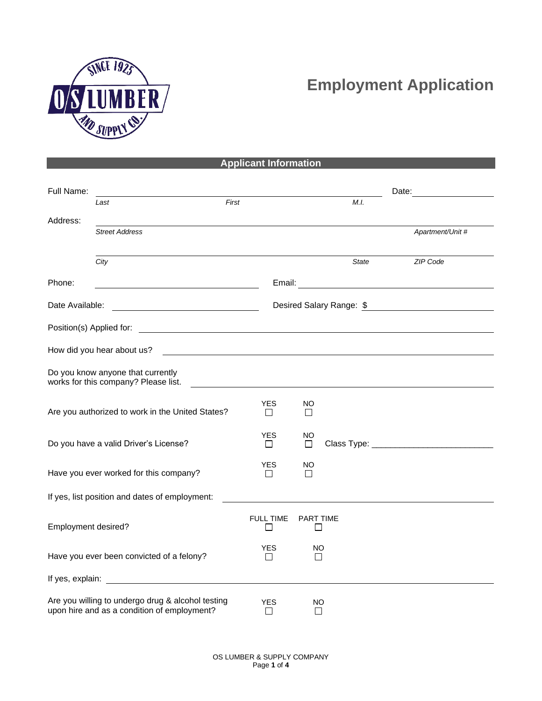

## **Employment Application**

|                          |                                                                                                                      | <b>Applicant Information</b> |                             |                          |
|--------------------------|----------------------------------------------------------------------------------------------------------------------|------------------------------|-----------------------------|--------------------------|
|                          |                                                                                                                      |                              |                             |                          |
| Full Name:               | First<br>Last                                                                                                        |                              | M.I.                        | Date:                    |
| Address:                 |                                                                                                                      |                              |                             |                          |
|                          | <b>Street Address</b>                                                                                                |                              |                             | Apartment/Unit #         |
|                          | City                                                                                                                 |                              | <b>State</b>                | ZIP Code                 |
| Phone:                   | <u> 1980 - Johann Barn, mars ann an t-Amhain Aonaich an t-Aonaich an t-Aonaich ann an t-Aonaich ann an t-Aonaich</u> |                              |                             |                          |
| Date Available:          |                                                                                                                      |                              |                             | Desired Salary Range: \$ |
| Position(s) Applied for: | <u> Andreas Andreas Andreas Andreas Andreas Andreas Andreas Andreas Andreas Andreas Andreas Andreas Andreas Andr</u> |                              |                             |                          |
|                          | How did you hear about us?                                                                                           |                              |                             |                          |
|                          | Do you know anyone that currently<br>works for this company? Please list.                                            |                              |                             |                          |
|                          | Are you authorized to work in the United States?                                                                     | YES<br>П                     | NO.<br>$\mathsf{L}$         |                          |
|                          | Do you have a valid Driver's License?                                                                                | <b>YES</b><br>$\Box$         | NO<br>$\Box$                |                          |
|                          | Have you ever worked for this company?                                                                               | <b>YES</b><br>$\perp$        | ΝO<br>$\Box$                |                          |
|                          | If yes, list position and dates of employment:                                                                       |                              |                             |                          |
| Employment desired?      |                                                                                                                      | <b>FULL TIME</b>             | <b>PART TIME</b><br>$\perp$ |                          |
|                          | Have you ever been convicted of a felony?                                                                            | <b>YES</b><br>$\Box$         | NO<br>$\Box$                |                          |
| If yes, explain:         |                                                                                                                      |                              |                             |                          |
|                          | Are you willing to undergo drug & alcohol testing<br>upon hire and as a condition of employment?                     | <b>YES</b>                   | <b>NO</b><br>$\mathsf{I}$   |                          |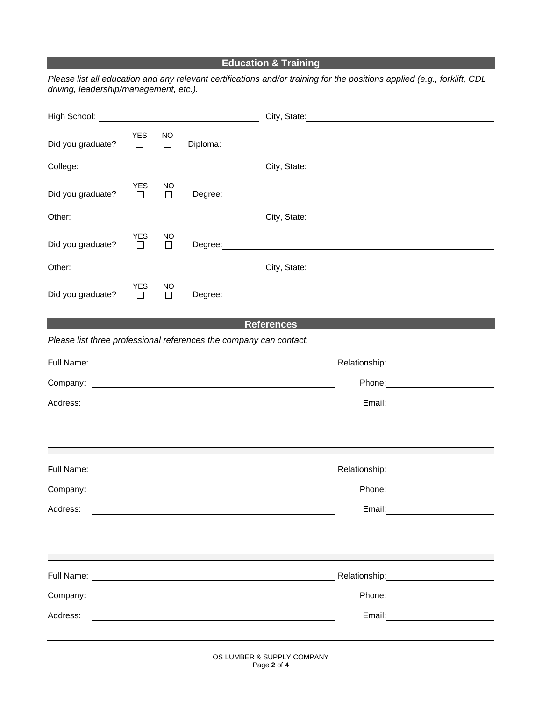## **Education & Training**

*Please list all education and any relevant certifications and/or training for the positions applied (e.g., forklift, CDL driving, leadership/management, etc.).*

| Did you graduate? $\square$ | <b>YES</b> | NO.           | Diploma: experience and a series of the series of the series of the series of the series of the series of the series of the series of the series of the series of the series of the series of the series of the series of the  |  |
|-----------------------------|------------|---------------|--------------------------------------------------------------------------------------------------------------------------------------------------------------------------------------------------------------------------------|--|
|                             |            |               | College: 2001 College: 2008 College: 2012 City, State: 2008 City, State: 2008 College: 2012 2013 2014 2014 201                                                                                                                 |  |
| Did you graduate? $\Box$    | <b>YES</b> | NO<br>$\Box$  | Degree: Note and the second contract of the second contract of the second contract of the second contract of the second contract of the second contract of the second contract of the second contract of the second contract o |  |
|                             |            |               | City, State: 2008. Experience of the City, State:                                                                                                                                                                              |  |
| Did you graduate? $\Box$    | <b>YES</b> | NO.<br>$\Box$ | Degree: Note and the second contract of the second contract of the second contract of the second contract of the second contract of the second contract of the second contract of the second contract of the second contract o |  |
|                             |            |               | Other: 2000 Communication City, State: 2000 City, State: 2000 City, State: 2000 City, State: 2000 City, State:                                                                                                                 |  |
| Did you graduate? $\Box$    | YES        | NO.<br>$\Box$ |                                                                                                                                                                                                                                |  |
|                             |            |               | <b>References</b>                                                                                                                                                                                                              |  |
|                             |            |               | Please list three professional references the company can contact.                                                                                                                                                             |  |
|                             |            |               |                                                                                                                                                                                                                                |  |
|                             |            |               |                                                                                                                                                                                                                                |  |
|                             |            |               |                                                                                                                                                                                                                                |  |
|                             |            |               |                                                                                                                                                                                                                                |  |
|                             |            |               |                                                                                                                                                                                                                                |  |
|                             |            |               |                                                                                                                                                                                                                                |  |
|                             |            |               |                                                                                                                                                                                                                                |  |
| Address:                    |            |               | Email:                                                                                                                                                                                                                         |  |
|                             |            |               |                                                                                                                                                                                                                                |  |
|                             |            |               |                                                                                                                                                                                                                                |  |
| Full Name:                  |            |               | Relationship:<br><u> 1980 - Jan Samuel Barbara, politik e</u>                                                                                                                                                                  |  |
| Company:                    |            |               |                                                                                                                                                                                                                                |  |
| Address:                    |            |               | Email:                                                                                                                                                                                                                         |  |
|                             |            |               |                                                                                                                                                                                                                                |  |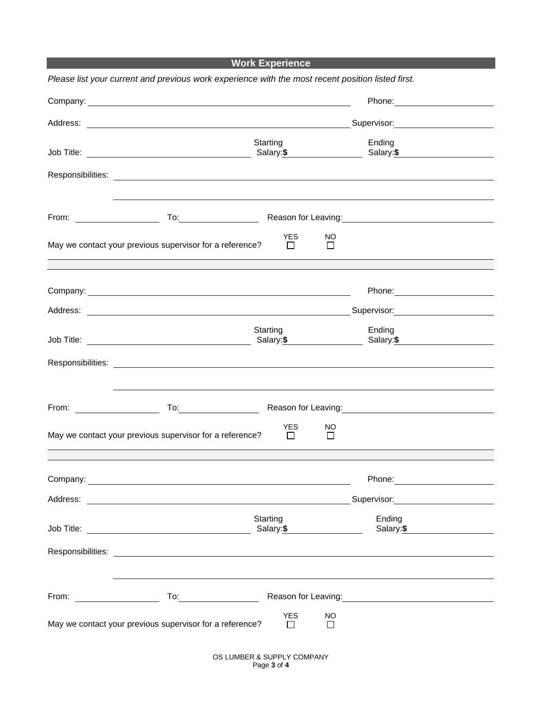**Work Experience** 

|                                                                                                                                                                                                                                     | Please list your current and previous work experience with the most recent position listed first.                                                                                                                              |          |                              |                     |                                                                                                                                                                                                                                |  |
|-------------------------------------------------------------------------------------------------------------------------------------------------------------------------------------------------------------------------------------|--------------------------------------------------------------------------------------------------------------------------------------------------------------------------------------------------------------------------------|----------|------------------------------|---------------------|--------------------------------------------------------------------------------------------------------------------------------------------------------------------------------------------------------------------------------|--|
| Company: <u>example and the company</u> company of the company of the company of the company of the company of the company of the company of the company of the company of the company of the company of the company of the company |                                                                                                                                                                                                                                |          |                              |                     |                                                                                                                                                                                                                                |  |
| Address:                                                                                                                                                                                                                            | <u> 1988 - Andrea Branden, amerikan basar pada sebagai personal di sebagai personal di sebagai personal di sebagai</u>                                                                                                         |          |                              |                     | Supervisor: Supervisor: Supervisor: Supervisor: Supervisor: Supervisor: Supervisor: Supervisor: Supervisor: Supervisor: Supervisor: Supervisor: Supervisor: Supervisor: Supervisor: Supervisor: Supervisor: Supervisor: Superv |  |
|                                                                                                                                                                                                                                     |                                                                                                                                                                                                                                | Starting |                              | Salary: \$          | Ending<br>Salary: \$                                                                                                                                                                                                           |  |
|                                                                                                                                                                                                                                     |                                                                                                                                                                                                                                |          |                              |                     |                                                                                                                                                                                                                                |  |
| From: $\frac{1}{2}$ From:                                                                                                                                                                                                           |                                                                                                                                                                                                                                |          |                              |                     | Reason for Leaving: Management Control of the Reason for Leaving:                                                                                                                                                              |  |
| May we contact your previous supervisor for a reference?                                                                                                                                                                            |                                                                                                                                                                                                                                |          | <b>YES</b><br>$\blacksquare$ | NO<br>$\Box$        |                                                                                                                                                                                                                                |  |
|                                                                                                                                                                                                                                     |                                                                                                                                                                                                                                |          |                              |                     |                                                                                                                                                                                                                                |  |
| Address:                                                                                                                                                                                                                            | <u> 1989 - Johann Stein, marwolaethau a bhann an t-Amhainn an t-Amhainn an t-Amhainn an t-Amhainn an t-Amhainn a</u>                                                                                                           |          |                              |                     |                                                                                                                                                                                                                                |  |
|                                                                                                                                                                                                                                     |                                                                                                                                                                                                                                | Starting |                              | Salary: \$          | Ending<br>Salary:\$                                                                                                                                                                                                            |  |
|                                                                                                                                                                                                                                     |                                                                                                                                                                                                                                |          |                              |                     |                                                                                                                                                                                                                                |  |
| From:                                                                                                                                                                                                                               | To: the contract of the contract of the contract of the contract of the contract of the contract of the contract of the contract of the contract of the contract of the contract of the contract of the contract of the contra |          |                              |                     | Reason for Leaving:<br><u>Leaving:</u>                                                                                                                                                                                         |  |
| May we contact your previous supervisor for a reference?                                                                                                                                                                            |                                                                                                                                                                                                                                |          | <b>YES</b><br>$\Box$         | NO<br>$\Box$        |                                                                                                                                                                                                                                |  |
|                                                                                                                                                                                                                                     |                                                                                                                                                                                                                                |          |                              |                     |                                                                                                                                                                                                                                |  |
| Address:                                                                                                                                                                                                                            | <u> 1989 - Johann Barn, mars ann an t-Amhainn an t-Amhainn an t-Amhainn an t-Amhainn an t-Amhainn an t-Amhainn an</u>                                                                                                          |          |                              |                     | Supervisor: 2000                                                                                                                                                                                                               |  |
|                                                                                                                                                                                                                                     |                                                                                                                                                                                                                                | Starting |                              | Salary: <b>\$</b>   | Ending<br>Salary:\$                                                                                                                                                                                                            |  |
|                                                                                                                                                                                                                                     |                                                                                                                                                                                                                                |          |                              |                     |                                                                                                                                                                                                                                |  |
| From: $\qquad \qquad$                                                                                                                                                                                                               |                                                                                                                                                                                                                                |          |                              |                     | Reason for Leaving:<br><u> Reason</u> for Leaving:                                                                                                                                                                             |  |
| May we contact your previous supervisor for a reference?                                                                                                                                                                            |                                                                                                                                                                                                                                |          | <b>YES</b><br>$\Box$         | <b>NO</b><br>$\Box$ |                                                                                                                                                                                                                                |  |